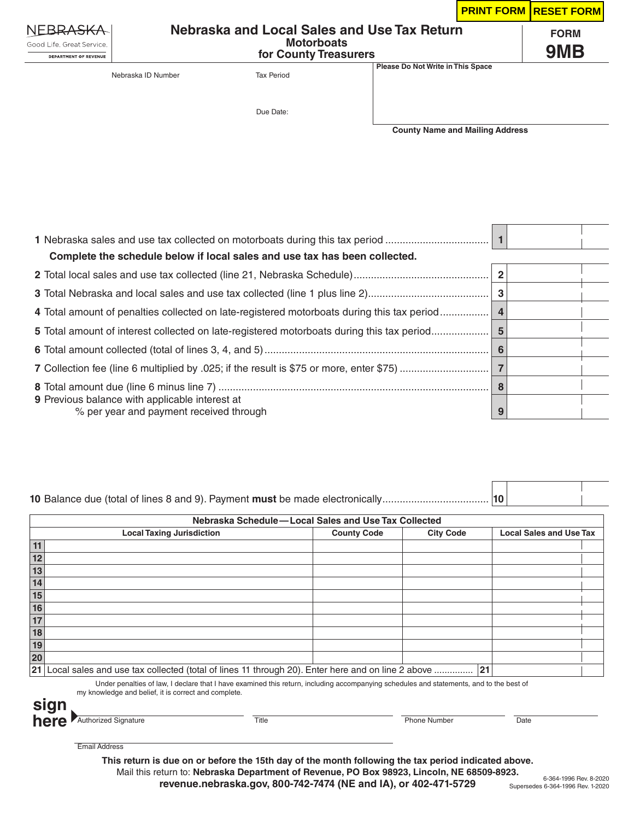|                                                           |                                             |                   |                                   |                                        | <b>PRINT FORM RESET FORM</b> |
|-----------------------------------------------------------|---------------------------------------------|-------------------|-----------------------------------|----------------------------------------|------------------------------|
| NEBRASKA                                                  | Nebraska and Local Sales and Use Tax Return |                   |                                   |                                        | <b>FORM</b>                  |
| Good Life, Great Service,<br><b>DEPARTMENT OF REVENUE</b> | <b>Motorboats</b><br>for County Treasurers  |                   |                                   |                                        | 9MB                          |
|                                                           | Nebraska ID Number                          | <b>Tax Period</b> | Please Do Not Write in This Space |                                        |                              |
|                                                           |                                             | Due Date:         |                                   |                                        |                              |
|                                                           |                                             |                   |                                   | <b>County Name and Mailing Address</b> |                              |

| Complete the schedule below if local sales and use tax has been collected.                       |    |  |
|--------------------------------------------------------------------------------------------------|----|--|
|                                                                                                  |    |  |
|                                                                                                  |    |  |
| 4 Total amount of penalties collected on late-registered motorboats during this tax period       |    |  |
| 5 Total amount of interest collected on late-registered motorboats during this tax period        | -5 |  |
|                                                                                                  |    |  |
|                                                                                                  |    |  |
|                                                                                                  |    |  |
| <b>9</b> Previous balance with applicable interest at<br>% per year and payment received through | 9  |  |

## **10** Balance due (total of lines 8 and 9). Payment **must** be made electronically..................................... **10**

| Nebraska Schedule-Local Sales and Use Tax Collected                                                        |                    |                  |                                |  |
|------------------------------------------------------------------------------------------------------------|--------------------|------------------|--------------------------------|--|
| <b>Local Taxing Jurisdiction</b>                                                                           | <b>County Code</b> | <b>City Code</b> | <b>Local Sales and Use Tax</b> |  |
|                                                                                                            |                    |                  |                                |  |
| 12                                                                                                         |                    |                  |                                |  |
| 13                                                                                                         |                    |                  |                                |  |
| 14                                                                                                         |                    |                  |                                |  |
| 15                                                                                                         |                    |                  |                                |  |
| 16                                                                                                         |                    |                  |                                |  |
| 17                                                                                                         |                    |                  |                                |  |
| 18                                                                                                         |                    |                  |                                |  |
| 19                                                                                                         |                    |                  |                                |  |
| 20                                                                                                         |                    |                  |                                |  |
| Local sales and use tax collected (total of lines 11 through 20). Enter here and on line 2 above  21<br>21 |                    |                  |                                |  |

Under penalties of law, I declare that I have examined this return, including accompanying schedules and statements, and to the best of my knowledge and belief, it is correct and complete.



Email Address

**This return is due on or before the 15th day of the month following the tax period indicated above.** Mail this return to: **Nebraska Department of Revenue, PO Box 98923, Lincoln, NE 68509-8923. revenue.nebraska.gov, 800-742-7474 (NE and IA), or 402-471-5729**